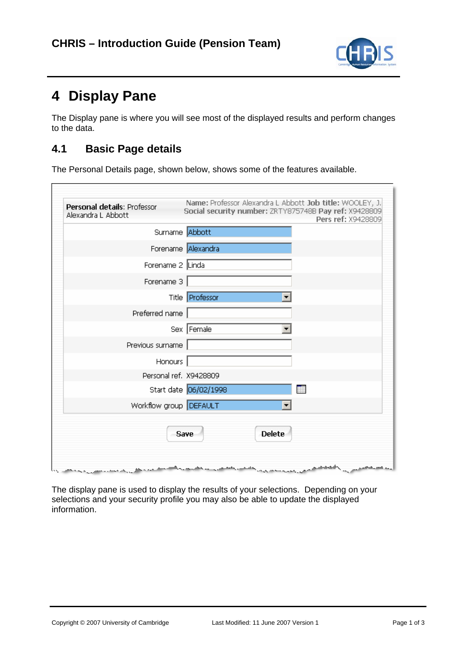

## **4 Display Pane**

Ē

The Display pane is where you will see most of the displayed results and perform changes to the data.

## **4.1 Basic Page details**

The Personal Details page, shown below, shows some of the features available.

| Personal details: Professor<br>Alexandra L Abbott | Name: Professor Alexandra L Abbott Job title: WOOLEY, J.<br>Social security number: ZRTY875748B Pay ref: X9428809<br>Pers ref: X9428809 |
|---------------------------------------------------|-----------------------------------------------------------------------------------------------------------------------------------------|
| Surname Abbott                                    |                                                                                                                                         |
|                                                   | Forename Alexandra                                                                                                                      |
| Forename 2 Linda                                  |                                                                                                                                         |
| Forename 3                                        |                                                                                                                                         |
|                                                   | Title <b>Professor</b>                                                                                                                  |
| Preferred name                                    |                                                                                                                                         |
|                                                   | Sex Female                                                                                                                              |
| Previous surname                                  |                                                                                                                                         |
| Honours                                           |                                                                                                                                         |
| Personal ref. X9428809                            |                                                                                                                                         |
|                                                   | Start date 06/02/1998                                                                                                                   |
| Workflow group DEFAULT                            |                                                                                                                                         |
|                                                   | <b>Delete</b><br>Save                                                                                                                   |

The display pane is used to display the results of your selections. Depending on your selections and your security profile you may also be able to update the displayed information.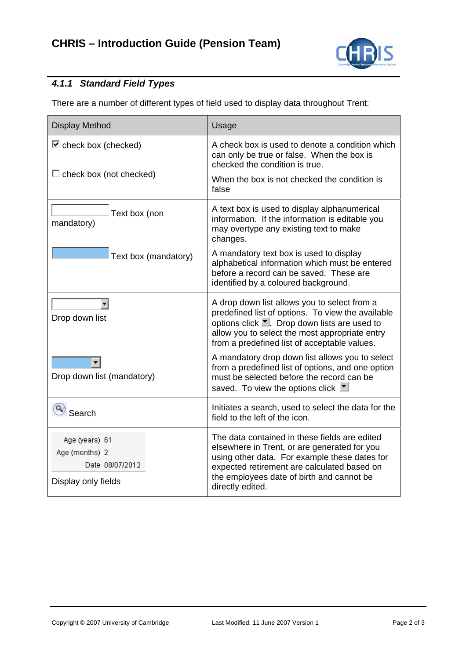

## *4.1.1 Standard Field Types*

There are a number of different types of field used to display data throughout Trent:

| <b>Display Method</b>                                                      | Usage                                                                                                                                                                                                                                                          |
|----------------------------------------------------------------------------|----------------------------------------------------------------------------------------------------------------------------------------------------------------------------------------------------------------------------------------------------------------|
| $\blacksquare$ check box (checked)                                         | A check box is used to denote a condition which<br>can only be true or false. When the box is<br>checked the condition is true.                                                                                                                                |
| $\Box$ check box (not checked)                                             | When the box is not checked the condition is<br>false                                                                                                                                                                                                          |
| Text box (non<br>mandatory)                                                | A text box is used to display alphanumerical<br>information. If the information is editable you<br>may overtype any existing text to make<br>changes.                                                                                                          |
| Text box (mandatory)                                                       | A mandatory text box is used to display<br>alphabetical information which must be entered<br>before a record can be saved. These are<br>identified by a coloured background.                                                                                   |
| Drop down list                                                             | A drop down list allows you to select from a<br>predefined list of options. To view the available<br>options click T. Drop down lists are used to<br>allow you to select the most appropriate entry<br>from a predefined list of acceptable values.            |
| ▼<br>Drop down list (mandatory)                                            | A mandatory drop down list allows you to select<br>from a predefined list of options, and one option<br>must be selected before the record can be<br>saved. To view the options click ▼                                                                        |
| Search                                                                     | Initiates a search, used to select the data for the<br>field to the left of the icon.                                                                                                                                                                          |
| Age (years) 61<br>Age (months) 2<br>Date 08/07/2012<br>Display only fields | The data contained in these fields are edited<br>elsewhere in Trent, or are generated for you<br>using other data. For example these dates for<br>expected retirement are calculated based on<br>the employees date of birth and cannot be<br>directly edited. |